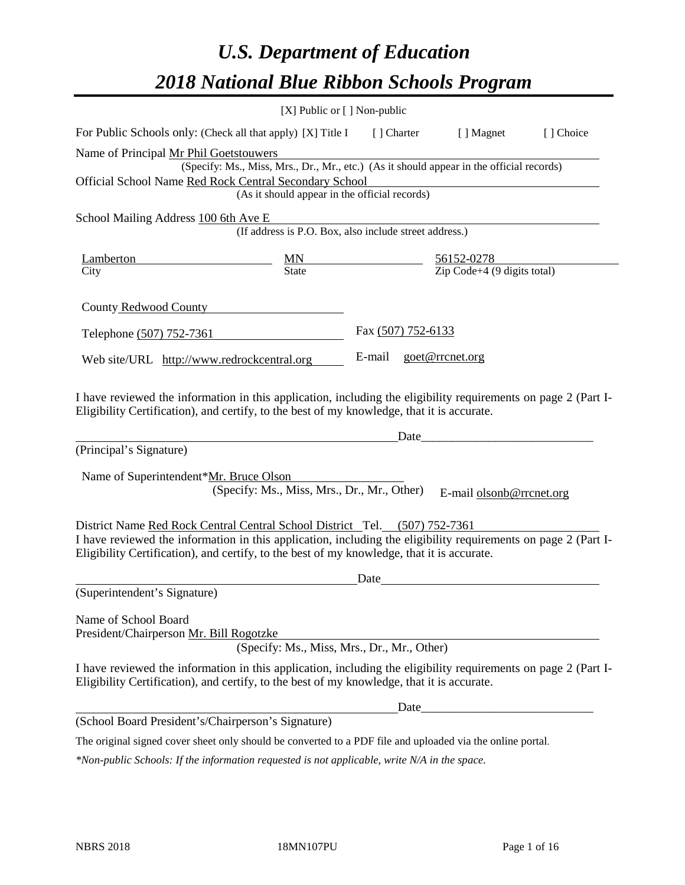# *U.S. Department of Education 2018 National Blue Ribbon Schools Program*

|                                                                                                                                                                                                              | [X] Public or [] Non-public                                                              |                    |                                                         |           |
|--------------------------------------------------------------------------------------------------------------------------------------------------------------------------------------------------------------|------------------------------------------------------------------------------------------|--------------------|---------------------------------------------------------|-----------|
| For Public Schools only: (Check all that apply) [X] Title I                                                                                                                                                  |                                                                                          | [ ] Charter        | [ ] Magnet                                              | [] Choice |
| Name of Principal Mr Phil Goetstouwers                                                                                                                                                                       |                                                                                          |                    |                                                         |           |
|                                                                                                                                                                                                              | (Specify: Ms., Miss, Mrs., Dr., Mr., etc.) (As it should appear in the official records) |                    |                                                         |           |
| Official School Name Red Rock Central Secondary School                                                                                                                                                       |                                                                                          |                    |                                                         |           |
|                                                                                                                                                                                                              | (As it should appear in the official records)                                            |                    |                                                         |           |
| School Mailing Address 100 6th Ave E                                                                                                                                                                         |                                                                                          |                    |                                                         |           |
|                                                                                                                                                                                                              | (If address is P.O. Box, also include street address.)                                   |                    |                                                         |           |
| <b>Lamberton</b>                                                                                                                                                                                             | $\frac{MN}{State}$                                                                       |                    | $\frac{56152-0278}{\text{Zip Code}+4 (9 digits total)}$ |           |
| City                                                                                                                                                                                                         |                                                                                          |                    |                                                         |           |
| County Redwood County                                                                                                                                                                                        |                                                                                          |                    |                                                         |           |
| Telephone (507) 752-7361                                                                                                                                                                                     |                                                                                          | Fax (507) 752-6133 |                                                         |           |
| Web site/URL http://www.redrockcentral.org                                                                                                                                                                   |                                                                                          | E-mail             | goet@rrcnet.org                                         |           |
| (Principal's Signature)<br>Name of Superintendent*Mr. Bruce Olson                                                                                                                                            | (Specify: Ms., Miss, Mrs., Dr., Mr., Other)                                              | Date               | E-mail olsonb@rrcnet.org                                |           |
|                                                                                                                                                                                                              |                                                                                          |                    |                                                         |           |
| District Name Red Rock Central Central School District Tel. (507) 752-7361                                                                                                                                   |                                                                                          |                    |                                                         |           |
| I have reviewed the information in this application, including the eligibility requirements on page 2 (Part I-<br>Eligibility Certification), and certify, to the best of my knowledge, that it is accurate. |                                                                                          |                    |                                                         |           |
|                                                                                                                                                                                                              |                                                                                          | Date               |                                                         |           |
| (Superintendent's Signature)                                                                                                                                                                                 |                                                                                          |                    |                                                         |           |
| Name of School Board<br>President/Chairperson Mr. Bill Rogotzke                                                                                                                                              | (Specify: Ms., Miss, Mrs., Dr., Mr., Other)                                              |                    |                                                         |           |
|                                                                                                                                                                                                              |                                                                                          |                    |                                                         |           |
| I have reviewed the information in this application, including the eligibility requirements on page 2 (Part I-<br>Eligibility Certification), and certify, to the best of my knowledge, that it is accurate. |                                                                                          |                    |                                                         |           |
|                                                                                                                                                                                                              |                                                                                          |                    |                                                         |           |
| (School Board President's/Chairperson's Signature)                                                                                                                                                           |                                                                                          |                    |                                                         |           |
| The original signed cover sheet only should be converted to a PDF file and uploaded via the online portal.                                                                                                   |                                                                                          |                    |                                                         |           |

*\*Non-public Schools: If the information requested is not applicable, write N/A in the space.*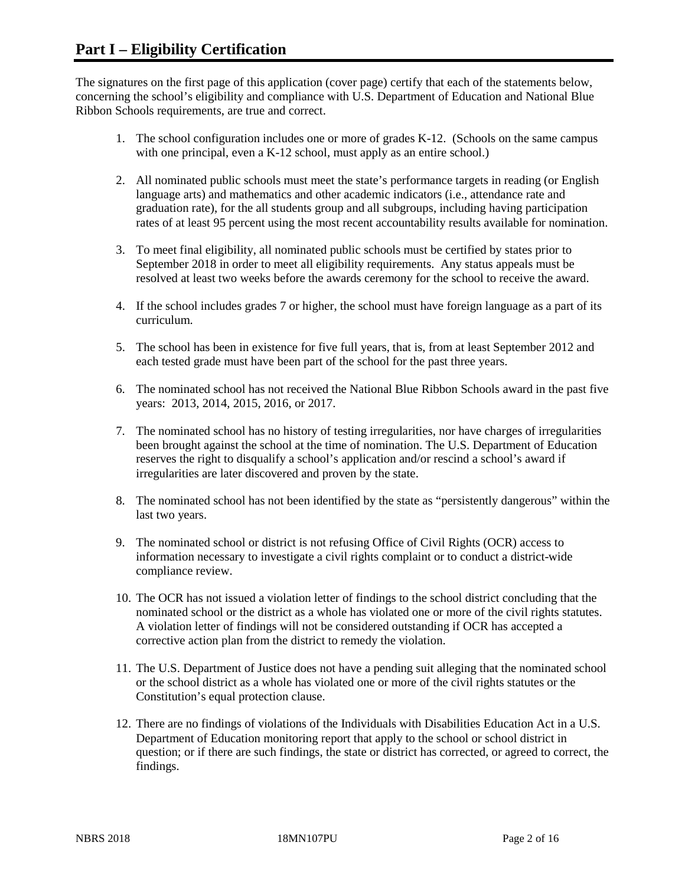The signatures on the first page of this application (cover page) certify that each of the statements below, concerning the school's eligibility and compliance with U.S. Department of Education and National Blue Ribbon Schools requirements, are true and correct.

- 1. The school configuration includes one or more of grades K-12. (Schools on the same campus with one principal, even a K-12 school, must apply as an entire school.)
- 2. All nominated public schools must meet the state's performance targets in reading (or English language arts) and mathematics and other academic indicators (i.e., attendance rate and graduation rate), for the all students group and all subgroups, including having participation rates of at least 95 percent using the most recent accountability results available for nomination.
- 3. To meet final eligibility, all nominated public schools must be certified by states prior to September 2018 in order to meet all eligibility requirements. Any status appeals must be resolved at least two weeks before the awards ceremony for the school to receive the award.
- 4. If the school includes grades 7 or higher, the school must have foreign language as a part of its curriculum.
- 5. The school has been in existence for five full years, that is, from at least September 2012 and each tested grade must have been part of the school for the past three years.
- 6. The nominated school has not received the National Blue Ribbon Schools award in the past five years: 2013, 2014, 2015, 2016, or 2017.
- 7. The nominated school has no history of testing irregularities, nor have charges of irregularities been brought against the school at the time of nomination. The U.S. Department of Education reserves the right to disqualify a school's application and/or rescind a school's award if irregularities are later discovered and proven by the state.
- 8. The nominated school has not been identified by the state as "persistently dangerous" within the last two years.
- 9. The nominated school or district is not refusing Office of Civil Rights (OCR) access to information necessary to investigate a civil rights complaint or to conduct a district-wide compliance review.
- 10. The OCR has not issued a violation letter of findings to the school district concluding that the nominated school or the district as a whole has violated one or more of the civil rights statutes. A violation letter of findings will not be considered outstanding if OCR has accepted a corrective action plan from the district to remedy the violation.
- 11. The U.S. Department of Justice does not have a pending suit alleging that the nominated school or the school district as a whole has violated one or more of the civil rights statutes or the Constitution's equal protection clause.
- 12. There are no findings of violations of the Individuals with Disabilities Education Act in a U.S. Department of Education monitoring report that apply to the school or school district in question; or if there are such findings, the state or district has corrected, or agreed to correct, the findings.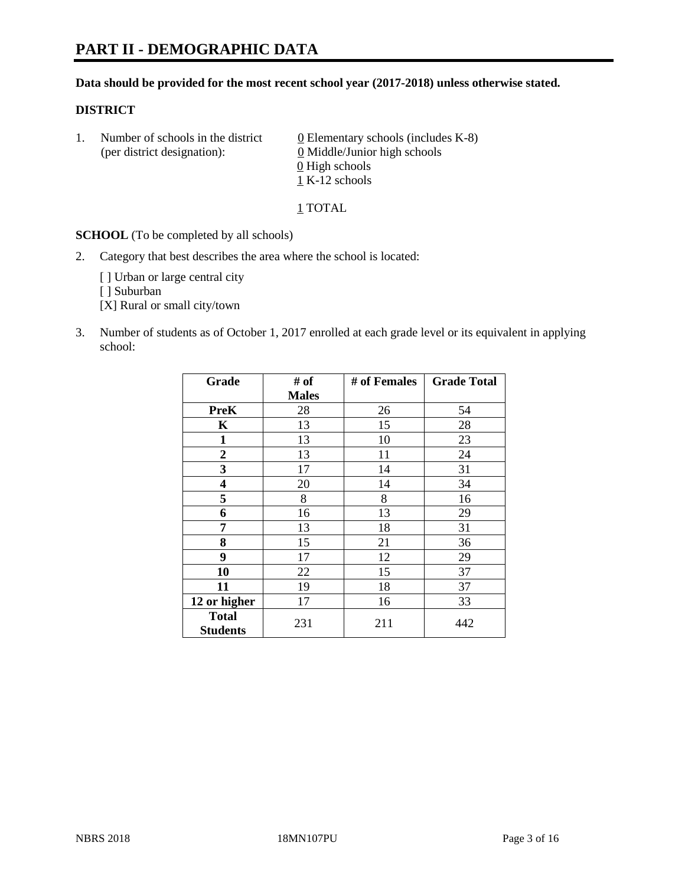#### **Data should be provided for the most recent school year (2017-2018) unless otherwise stated.**

#### **DISTRICT**

1. Number of schools in the district  $0$  Elementary schools (includes K-8) (per district designation): 0 Middle/Junior high schools 0 High schools  $1$  K-12 schools

1 TOTAL

**SCHOOL** (To be completed by all schools)

2. Category that best describes the area where the school is located:

[] Urban or large central city

[ ] Suburban

[X] Rural or small city/town

3. Number of students as of October 1, 2017 enrolled at each grade level or its equivalent in applying school:

| Grade                           | # of         | # of Females | <b>Grade Total</b> |
|---------------------------------|--------------|--------------|--------------------|
|                                 | <b>Males</b> |              |                    |
| <b>PreK</b>                     | 28           | 26           | 54                 |
| K                               | 13           | 15           | 28                 |
| $\mathbf{1}$                    | 13           | 10           | 23                 |
| 2                               | 13           | 11           | 24                 |
| 3                               | 17           | 14           | 31                 |
| 4                               | 20           | 14           | 34                 |
| 5                               | 8            | 8            | 16                 |
| 6                               | 16           | 13           | 29                 |
| 7                               | 13           | 18           | 31                 |
| 8                               | 15           | 21           | 36                 |
| 9                               | 17           | 12           | 29                 |
| 10                              | 22           | 15           | 37                 |
| 11                              | 19           | 18           | 37                 |
| 12 or higher                    | 17           | 16           | 33                 |
| <b>Total</b><br><b>Students</b> | 231          | 211          | 442                |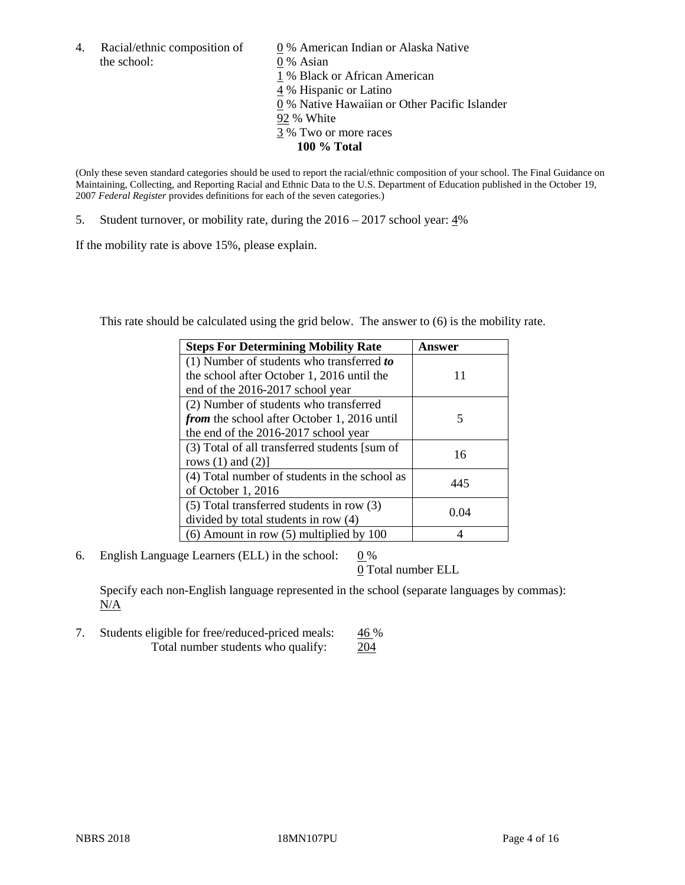4. Racial/ethnic composition of  $\qquad 0\%$  American Indian or Alaska Native the school: 0 % Asian

 % Black or African American % Hispanic or Latino % Native Hawaiian or Other Pacific Islander 92 % White % Two or more races **100 % Total**

(Only these seven standard categories should be used to report the racial/ethnic composition of your school. The Final Guidance on Maintaining, Collecting, and Reporting Racial and Ethnic Data to the U.S. Department of Education published in the October 19, 2007 *Federal Register* provides definitions for each of the seven categories.)

5. Student turnover, or mobility rate, during the 2016 – 2017 school year: 4%

If the mobility rate is above 15%, please explain.

This rate should be calculated using the grid below. The answer to (6) is the mobility rate.

| <b>Steps For Determining Mobility Rate</b>         | Answer |
|----------------------------------------------------|--------|
| (1) Number of students who transferred to          |        |
| the school after October 1, 2016 until the         | 11     |
| end of the 2016-2017 school year                   |        |
| (2) Number of students who transferred             |        |
| <i>from</i> the school after October 1, 2016 until | 5      |
| the end of the 2016-2017 school year               |        |
| (3) Total of all transferred students [sum of      | 16     |
| rows $(1)$ and $(2)$ ]                             |        |
| (4) Total number of students in the school as      |        |
| of October 1, 2016                                 | 445    |
| (5) Total transferred students in row (3)          |        |
| divided by total students in row (4)               | 0.04   |
| $(6)$ Amount in row $(5)$ multiplied by 100        |        |

6. English Language Learners (ELL) in the school:  $0\%$ 

0 Total number ELL

Specify each non-English language represented in the school (separate languages by commas): N/A

7. Students eligible for free/reduced-priced meals: 46 % Total number students who qualify: 204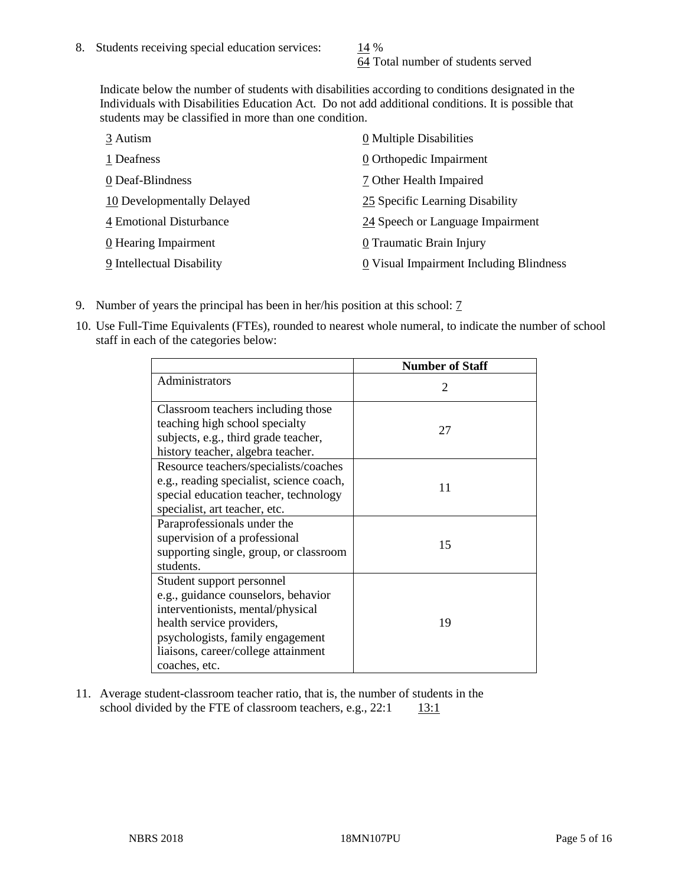64 Total number of students served

Indicate below the number of students with disabilities according to conditions designated in the Individuals with Disabilities Education Act. Do not add additional conditions. It is possible that students may be classified in more than one condition.

| 3 Autism                   | 0 Multiple Disabilities                 |
|----------------------------|-----------------------------------------|
| 1 Deafness                 | 0 Orthopedic Impairment                 |
| 0 Deaf-Blindness           | 7 Other Health Impaired                 |
| 10 Developmentally Delayed | 25 Specific Learning Disability         |
| 4 Emotional Disturbance    | 24 Speech or Language Impairment        |
| 0 Hearing Impairment       | 0 Traumatic Brain Injury                |
| 9 Intellectual Disability  | 0 Visual Impairment Including Blindness |

- 9. Number of years the principal has been in her/his position at this school: 7
- 10. Use Full-Time Equivalents (FTEs), rounded to nearest whole numeral, to indicate the number of school staff in each of the categories below:

|                                                                                                                                                                                                                                | <b>Number of Staff</b> |
|--------------------------------------------------------------------------------------------------------------------------------------------------------------------------------------------------------------------------------|------------------------|
| Administrators                                                                                                                                                                                                                 | 2                      |
| Classroom teachers including those<br>teaching high school specialty<br>subjects, e.g., third grade teacher,<br>history teacher, algebra teacher.                                                                              | 27                     |
| Resource teachers/specialists/coaches<br>e.g., reading specialist, science coach,<br>special education teacher, technology<br>specialist, art teacher, etc.                                                                    | 11                     |
| Paraprofessionals under the<br>supervision of a professional<br>supporting single, group, or classroom<br>students.                                                                                                            | 15                     |
| Student support personnel<br>e.g., guidance counselors, behavior<br>interventionists, mental/physical<br>health service providers,<br>psychologists, family engagement<br>liaisons, career/college attainment<br>coaches, etc. | 19                     |

11. Average student-classroom teacher ratio, that is, the number of students in the school divided by the FTE of classroom teachers, e.g.,  $22:1$  13:1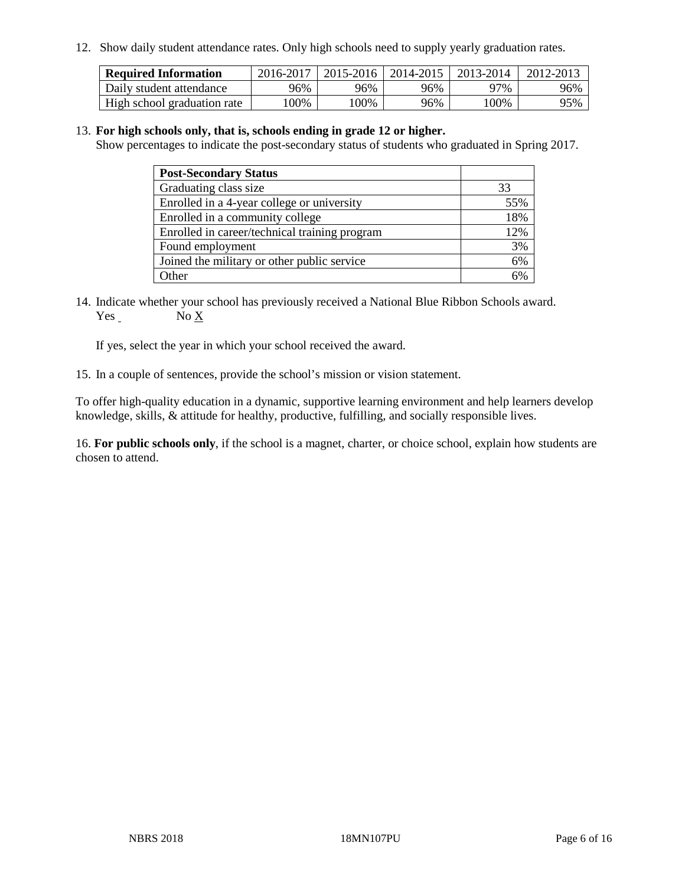12. Show daily student attendance rates. Only high schools need to supply yearly graduation rates.

| <b>Required Information</b> | 2016-2017 | $2015 - 2016$ | 2014-2015 | 2013-2014 | 2012-2013 |
|-----------------------------|-----------|---------------|-----------|-----------|-----------|
| Daily student attendance    | 96%       | 96%           | 96%       | 97%       | 96%       |
| High school graduation rate | .00%      | 00%           | 96%       | ' 00%     | 95%       |

#### 13. **For high schools only, that is, schools ending in grade 12 or higher.**

Show percentages to indicate the post-secondary status of students who graduated in Spring 2017.

| <b>Post-Secondary Status</b>                  |     |
|-----------------------------------------------|-----|
| Graduating class size                         | 33  |
| Enrolled in a 4-year college or university    | 55% |
| Enrolled in a community college               | 18% |
| Enrolled in career/technical training program | 12% |
| Found employment                              | 3%  |
| Joined the military or other public service   | 6%  |
| Other                                         | 50/ |

14. Indicate whether your school has previously received a National Blue Ribbon Schools award. Yes No X

If yes, select the year in which your school received the award.

15. In a couple of sentences, provide the school's mission or vision statement.

To offer high-quality education in a dynamic, supportive learning environment and help learners develop knowledge, skills, & attitude for healthy, productive, fulfilling, and socially responsible lives.

16. **For public schools only**, if the school is a magnet, charter, or choice school, explain how students are chosen to attend.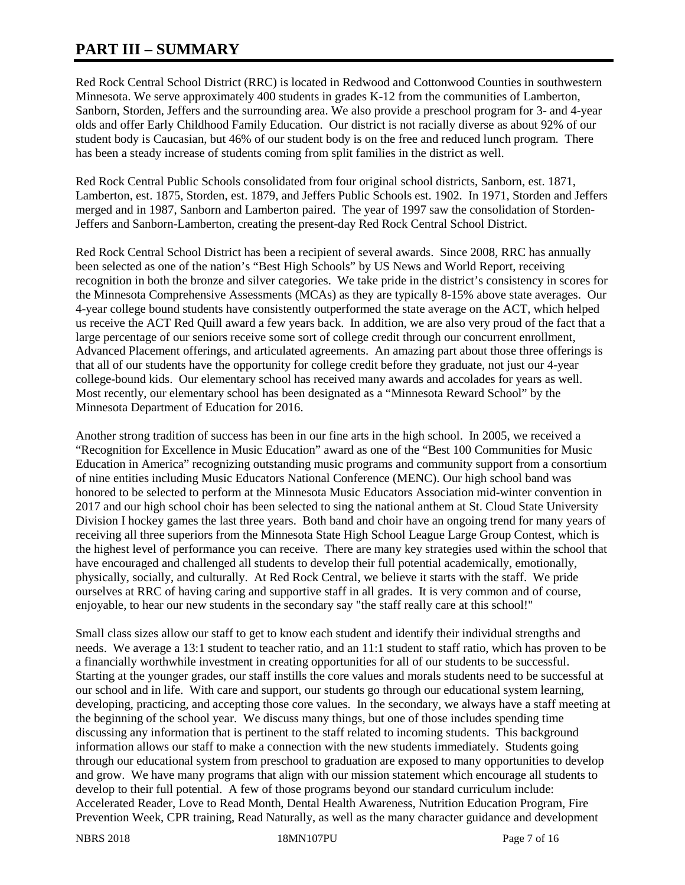# **PART III – SUMMARY**

Red Rock Central School District (RRC) is located in Redwood and Cottonwood Counties in southwestern Minnesota. We serve approximately 400 students in grades K-12 from the communities of Lamberton, Sanborn, Storden, Jeffers and the surrounding area. We also provide a preschool program for 3- and 4-year olds and offer Early Childhood Family Education. Our district is not racially diverse as about 92% of our student body is Caucasian, but 46% of our student body is on the free and reduced lunch program. There has been a steady increase of students coming from split families in the district as well.

Red Rock Central Public Schools consolidated from four original school districts, Sanborn, est. 1871, Lamberton, est. 1875, Storden, est. 1879, and Jeffers Public Schools est. 1902. In 1971, Storden and Jeffers merged and in 1987, Sanborn and Lamberton paired. The year of 1997 saw the consolidation of Storden-Jeffers and Sanborn-Lamberton, creating the present-day Red Rock Central School District.

Red Rock Central School District has been a recipient of several awards. Since 2008, RRC has annually been selected as one of the nation's "Best High Schools" by US News and World Report, receiving recognition in both the bronze and silver categories. We take pride in the district's consistency in scores for the Minnesota Comprehensive Assessments (MCAs) as they are typically 8-15% above state averages. Our 4-year college bound students have consistently outperformed the state average on the ACT, which helped us receive the ACT Red Quill award a few years back. In addition, we are also very proud of the fact that a large percentage of our seniors receive some sort of college credit through our concurrent enrollment, Advanced Placement offerings, and articulated agreements. An amazing part about those three offerings is that all of our students have the opportunity for college credit before they graduate, not just our 4-year college-bound kids. Our elementary school has received many awards and accolades for years as well. Most recently, our elementary school has been designated as a "Minnesota Reward School" by the Minnesota Department of Education for 2016.

Another strong tradition of success has been in our fine arts in the high school. In 2005, we received a "Recognition for Excellence in Music Education" award as one of the "Best 100 Communities for Music Education in America" recognizing outstanding music programs and community support from a consortium of nine entities including Music Educators National Conference (MENC). Our high school band was honored to be selected to perform at the Minnesota Music Educators Association mid-winter convention in 2017 and our high school choir has been selected to sing the national anthem at St. Cloud State University Division I hockey games the last three years. Both band and choir have an ongoing trend for many years of receiving all three superiors from the Minnesota State High School League Large Group Contest, which is the highest level of performance you can receive. There are many key strategies used within the school that have encouraged and challenged all students to develop their full potential academically, emotionally, physically, socially, and culturally. At Red Rock Central, we believe it starts with the staff. We pride ourselves at RRC of having caring and supportive staff in all grades. It is very common and of course, enjoyable, to hear our new students in the secondary say "the staff really care at this school!"

Small class sizes allow our staff to get to know each student and identify their individual strengths and needs. We average a 13:1 student to teacher ratio, and an 11:1 student to staff ratio, which has proven to be a financially worthwhile investment in creating opportunities for all of our students to be successful. Starting at the younger grades, our staff instills the core values and morals students need to be successful at our school and in life. With care and support, our students go through our educational system learning, developing, practicing, and accepting those core values. In the secondary, we always have a staff meeting at the beginning of the school year. We discuss many things, but one of those includes spending time discussing any information that is pertinent to the staff related to incoming students. This background information allows our staff to make a connection with the new students immediately. Students going through our educational system from preschool to graduation are exposed to many opportunities to develop and grow. We have many programs that align with our mission statement which encourage all students to develop to their full potential. A few of those programs beyond our standard curriculum include: Accelerated Reader, Love to Read Month, Dental Health Awareness, Nutrition Education Program, Fire Prevention Week, CPR training, Read Naturally, as well as the many character guidance and development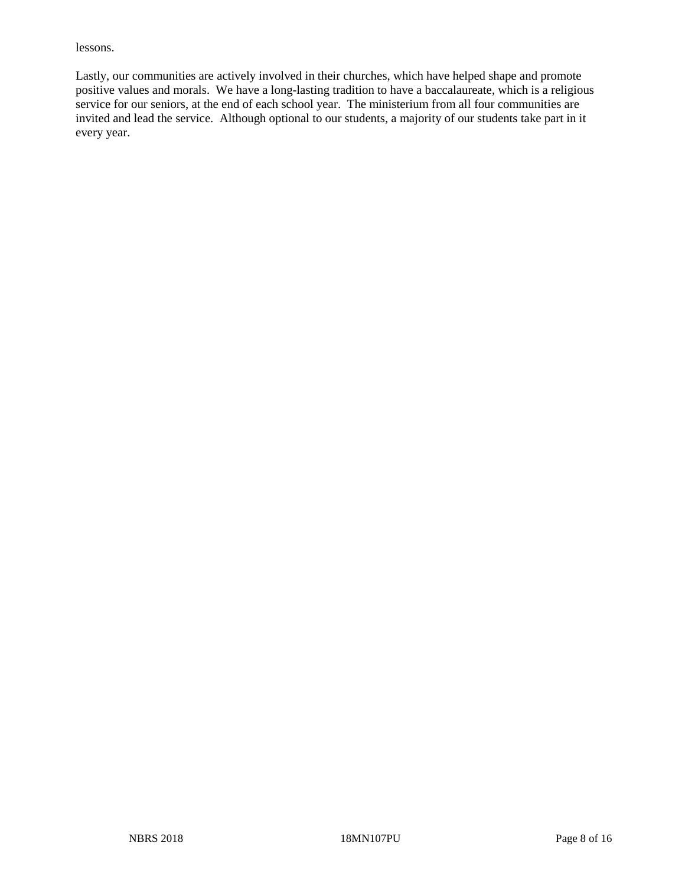lessons.

Lastly, our communities are actively involved in their churches, which have helped shape and promote positive values and morals. We have a long-lasting tradition to have a baccalaureate, which is a religious service for our seniors, at the end of each school year. The ministerium from all four communities are invited and lead the service. Although optional to our students, a majority of our students take part in it every year.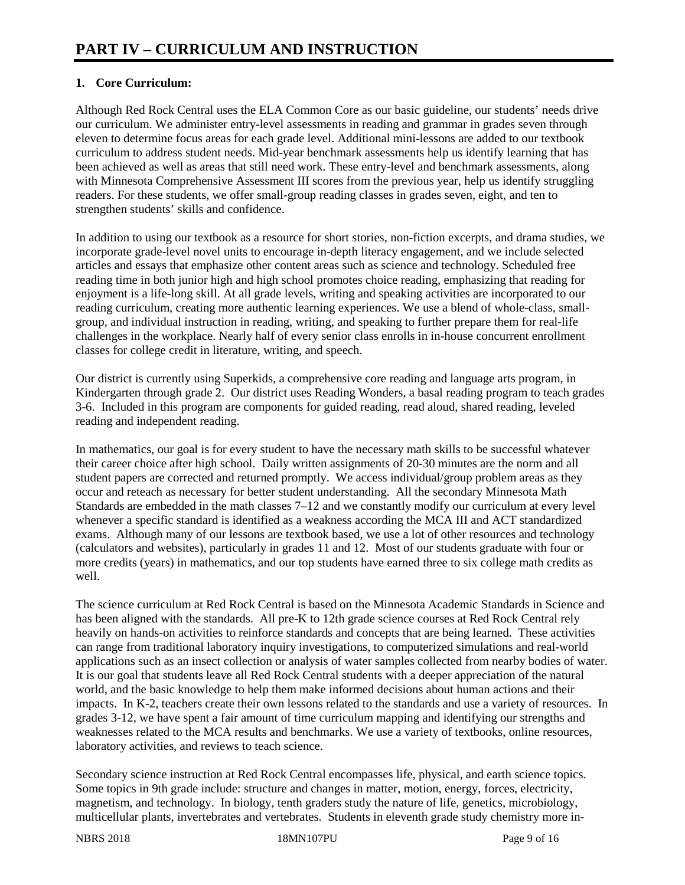# **1. Core Curriculum:**

Although Red Rock Central uses the ELA Common Core as our basic guideline, our students' needs drive our curriculum. We administer entry-level assessments in reading and grammar in grades seven through eleven to determine focus areas for each grade level. Additional mini-lessons are added to our textbook curriculum to address student needs. Mid-year benchmark assessments help us identify learning that has been achieved as well as areas that still need work. These entry-level and benchmark assessments, along with Minnesota Comprehensive Assessment III scores from the previous year, help us identify struggling readers. For these students, we offer small-group reading classes in grades seven, eight, and ten to strengthen students' skills and confidence.

In addition to using our textbook as a resource for short stories, non-fiction excerpts, and drama studies, we incorporate grade-level novel units to encourage in-depth literacy engagement, and we include selected articles and essays that emphasize other content areas such as science and technology. Scheduled free reading time in both junior high and high school promotes choice reading, emphasizing that reading for enjoyment is a life-long skill. At all grade levels, writing and speaking activities are incorporated to our reading curriculum, creating more authentic learning experiences. We use a blend of whole-class, smallgroup, and individual instruction in reading, writing, and speaking to further prepare them for real-life challenges in the workplace. Nearly half of every senior class enrolls in in-house concurrent enrollment classes for college credit in literature, writing, and speech.

Our district is currently using Superkids, a comprehensive core reading and language arts program, in Kindergarten through grade 2. Our district uses Reading Wonders, a basal reading program to teach grades 3-6. Included in this program are components for guided reading, read aloud, shared reading, leveled reading and independent reading.

In mathematics, our goal is for every student to have the necessary math skills to be successful whatever their career choice after high school. Daily written assignments of 20-30 minutes are the norm and all student papers are corrected and returned promptly. We access individual/group problem areas as they occur and reteach as necessary for better student understanding. All the secondary Minnesota Math Standards are embedded in the math classes 7–12 and we constantly modify our curriculum at every level whenever a specific standard is identified as a weakness according the MCA III and ACT standardized exams. Although many of our lessons are textbook based, we use a lot of other resources and technology (calculators and websites), particularly in grades 11 and 12. Most of our students graduate with four or more credits (years) in mathematics, and our top students have earned three to six college math credits as well.

The science curriculum at Red Rock Central is based on the Minnesota Academic Standards in Science and has been aligned with the standards. All pre-K to 12th grade science courses at Red Rock Central rely heavily on hands-on activities to reinforce standards and concepts that are being learned. These activities can range from traditional laboratory inquiry investigations, to computerized simulations and real-world applications such as an insect collection or analysis of water samples collected from nearby bodies of water. It is our goal that students leave all Red Rock Central students with a deeper appreciation of the natural world, and the basic knowledge to help them make informed decisions about human actions and their impacts. In K-2, teachers create their own lessons related to the standards and use a variety of resources. In grades 3-12, we have spent a fair amount of time curriculum mapping and identifying our strengths and weaknesses related to the MCA results and benchmarks. We use a variety of textbooks, online resources, laboratory activities, and reviews to teach science.

Secondary science instruction at Red Rock Central encompasses life, physical, and earth science topics. Some topics in 9th grade include: structure and changes in matter, motion, energy, forces, electricity, magnetism, and technology. In biology, tenth graders study the nature of life, genetics, microbiology, multicellular plants, invertebrates and vertebrates. Students in eleventh grade study chemistry more in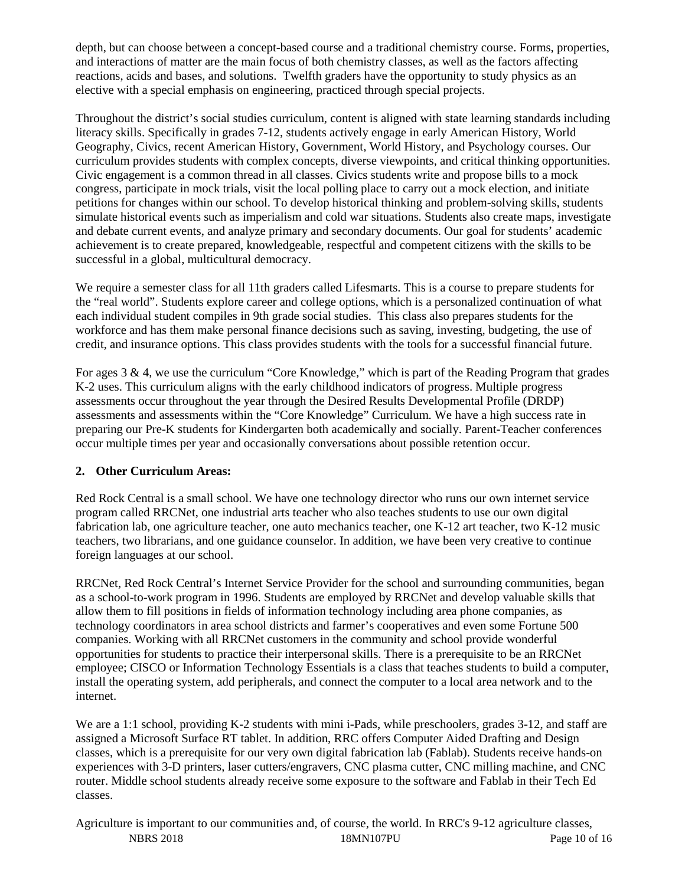depth, but can choose between a concept-based course and a traditional chemistry course. Forms, properties, and interactions of matter are the main focus of both chemistry classes, as well as the factors affecting reactions, acids and bases, and solutions. Twelfth graders have the opportunity to study physics as an elective with a special emphasis on engineering, practiced through special projects.

Throughout the district's social studies curriculum, content is aligned with state learning standards including literacy skills. Specifically in grades 7-12, students actively engage in early American History, World Geography, Civics, recent American History, Government, World History, and Psychology courses. Our curriculum provides students with complex concepts, diverse viewpoints, and critical thinking opportunities. Civic engagement is a common thread in all classes. Civics students write and propose bills to a mock congress, participate in mock trials, visit the local polling place to carry out a mock election, and initiate petitions for changes within our school. To develop historical thinking and problem-solving skills, students simulate historical events such as imperialism and cold war situations. Students also create maps, investigate and debate current events, and analyze primary and secondary documents. Our goal for students' academic achievement is to create prepared, knowledgeable, respectful and competent citizens with the skills to be successful in a global, multicultural democracy.

We require a semester class for all 11th graders called Lifesmarts. This is a course to prepare students for the "real world". Students explore career and college options, which is a personalized continuation of what each individual student compiles in 9th grade social studies. This class also prepares students for the workforce and has them make personal finance decisions such as saving, investing, budgeting, the use of credit, and insurance options. This class provides students with the tools for a successful financial future.

For ages 3 & 4, we use the curriculum "Core Knowledge," which is part of the Reading Program that grades K-2 uses. This curriculum aligns with the early childhood indicators of progress. Multiple progress assessments occur throughout the year through the Desired Results Developmental Profile (DRDP) assessments and assessments within the "Core Knowledge" Curriculum. We have a high success rate in preparing our Pre-K students for Kindergarten both academically and socially. Parent-Teacher conferences occur multiple times per year and occasionally conversations about possible retention occur.

# **2. Other Curriculum Areas:**

Red Rock Central is a small school. We have one technology director who runs our own internet service program called RRCNet, one industrial arts teacher who also teaches students to use our own digital fabrication lab, one agriculture teacher, one auto mechanics teacher, one K-12 art teacher, two K-12 music teachers, two librarians, and one guidance counselor. In addition, we have been very creative to continue foreign languages at our school.

RRCNet, Red Rock Central's Internet Service Provider for the school and surrounding communities, began as a school-to-work program in 1996. Students are employed by RRCNet and develop valuable skills that allow them to fill positions in fields of information technology including area phone companies, as technology coordinators in area school districts and farmer's cooperatives and even some Fortune 500 companies. Working with all RRCNet customers in the community and school provide wonderful opportunities for students to practice their interpersonal skills. There is a prerequisite to be an RRCNet employee; CISCO or Information Technology Essentials is a class that teaches students to build a computer, install the operating system, add peripherals, and connect the computer to a local area network and to the internet.

We are a 1:1 school, providing K-2 students with mini i-Pads, while preschoolers, grades 3-12, and staff are assigned a Microsoft Surface RT tablet. In addition, RRC offers Computer Aided Drafting and Design classes, which is a prerequisite for our very own digital fabrication lab (Fablab). Students receive hands-on experiences with 3-D printers, laser cutters/engravers, CNC plasma cutter, CNC milling machine, and CNC router. Middle school students already receive some exposure to the software and Fablab in their Tech Ed classes.

NBRS 2018 18MN107PU Page 10 of 16 Agriculture is important to our communities and, of course, the world. In RRC's 9-12 agriculture classes,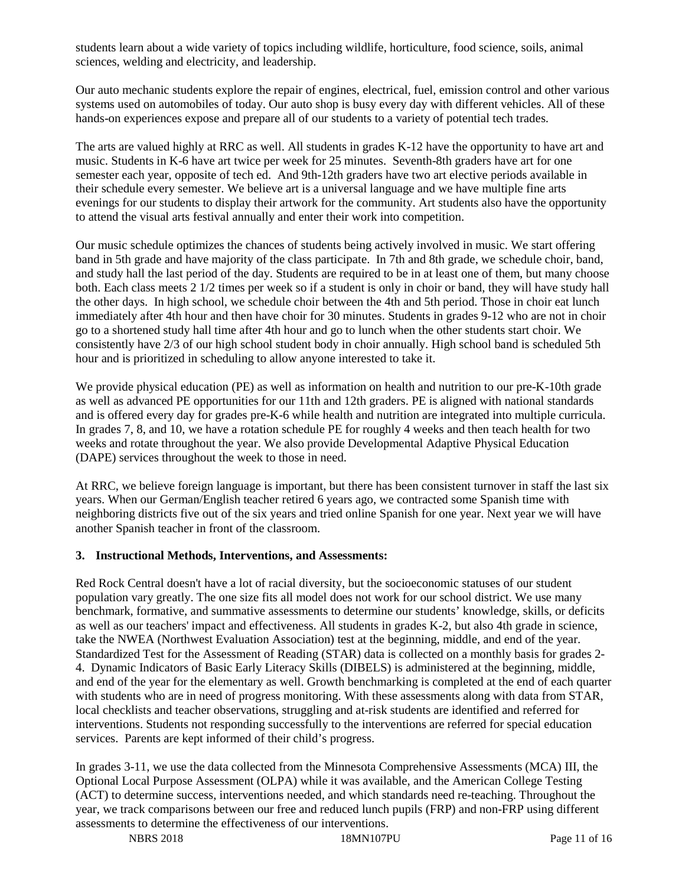students learn about a wide variety of topics including wildlife, horticulture, food science, soils, animal sciences, welding and electricity, and leadership.

Our auto mechanic students explore the repair of engines, electrical, fuel, emission control and other various systems used on automobiles of today. Our auto shop is busy every day with different vehicles. All of these hands-on experiences expose and prepare all of our students to a variety of potential tech trades.

The arts are valued highly at RRC as well. All students in grades K-12 have the opportunity to have art and music. Students in K-6 have art twice per week for 25 minutes. Seventh-8th graders have art for one semester each year, opposite of tech ed. And 9th-12th graders have two art elective periods available in their schedule every semester. We believe art is a universal language and we have multiple fine arts evenings for our students to display their artwork for the community. Art students also have the opportunity to attend the visual arts festival annually and enter their work into competition.

Our music schedule optimizes the chances of students being actively involved in music. We start offering band in 5th grade and have majority of the class participate. In 7th and 8th grade, we schedule choir, band, and study hall the last period of the day. Students are required to be in at least one of them, but many choose both. Each class meets 2 1/2 times per week so if a student is only in choir or band, they will have study hall the other days. In high school, we schedule choir between the 4th and 5th period. Those in choir eat lunch immediately after 4th hour and then have choir for 30 minutes. Students in grades 9-12 who are not in choir go to a shortened study hall time after 4th hour and go to lunch when the other students start choir. We consistently have 2/3 of our high school student body in choir annually. High school band is scheduled 5th hour and is prioritized in scheduling to allow anyone interested to take it.

We provide physical education (PE) as well as information on health and nutrition to our pre-K-10th grade as well as advanced PE opportunities for our 11th and 12th graders. PE is aligned with national standards and is offered every day for grades pre-K-6 while health and nutrition are integrated into multiple curricula. In grades 7, 8, and 10, we have a rotation schedule PE for roughly 4 weeks and then teach health for two weeks and rotate throughout the year. We also provide Developmental Adaptive Physical Education (DAPE) services throughout the week to those in need.

At RRC, we believe foreign language is important, but there has been consistent turnover in staff the last six years. When our German/English teacher retired 6 years ago, we contracted some Spanish time with neighboring districts five out of the six years and tried online Spanish for one year. Next year we will have another Spanish teacher in front of the classroom.

#### **3. Instructional Methods, Interventions, and Assessments:**

Red Rock Central doesn't have a lot of racial diversity, but the socioeconomic statuses of our student population vary greatly. The one size fits all model does not work for our school district. We use many benchmark, formative, and summative assessments to determine our students' knowledge, skills, or deficits as well as our teachers' impact and effectiveness. All students in grades K-2, but also 4th grade in science, take the NWEA (Northwest Evaluation Association) test at the beginning, middle, and end of the year. Standardized Test for the Assessment of Reading (STAR) data is collected on a monthly basis for grades 2- 4. Dynamic Indicators of Basic Early Literacy Skills (DIBELS) is administered at the beginning, middle, and end of the year for the elementary as well. Growth benchmarking is completed at the end of each quarter with students who are in need of progress monitoring. With these assessments along with data from STAR, local checklists and teacher observations, struggling and at-risk students are identified and referred for interventions. Students not responding successfully to the interventions are referred for special education services. Parents are kept informed of their child's progress.

In grades 3-11, we use the data collected from the Minnesota Comprehensive Assessments (MCA) III, the Optional Local Purpose Assessment (OLPA) while it was available, and the American College Testing (ACT) to determine success, interventions needed, and which standards need re-teaching. Throughout the year, we track comparisons between our free and reduced lunch pupils (FRP) and non-FRP using different assessments to determine the effectiveness of our interventions.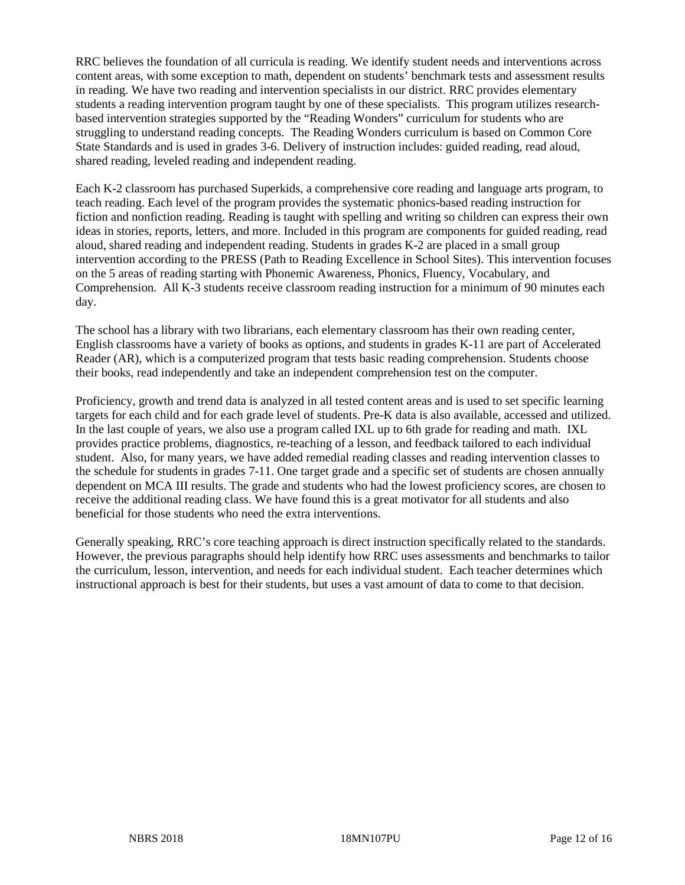RRC believes the foundation of all curricula is reading. We identify student needs and interventions across content areas, with some exception to math, dependent on students' benchmark tests and assessment results in reading. We have two reading and intervention specialists in our district. RRC provides elementary students a reading intervention program taught by one of these specialists. This program utilizes researchbased intervention strategies supported by the "Reading Wonders" curriculum for students who are struggling to understand reading concepts. The Reading Wonders curriculum is based on Common Core State Standards and is used in grades 3-6. Delivery of instruction includes: guided reading, read aloud, shared reading, leveled reading and independent reading.

Each K-2 classroom has purchased Superkids, a comprehensive core reading and language arts program, to teach reading. Each level of the program provides the systematic phonics-based reading instruction for fiction and nonfiction reading. Reading is taught with spelling and writing so children can express their own ideas in stories, reports, letters, and more. Included in this program are components for guided reading, read aloud, shared reading and independent reading. Students in grades K-2 are placed in a small group intervention according to the PRESS (Path to Reading Excellence in School Sites). This intervention focuses on the 5 areas of reading starting with Phonemic Awareness, Phonics, Fluency, Vocabulary, and Comprehension. All K-3 students receive classroom reading instruction for a minimum of 90 minutes each day.

The school has a library with two librarians, each elementary classroom has their own reading center, English classrooms have a variety of books as options, and students in grades K-11 are part of Accelerated Reader (AR), which is a computerized program that tests basic reading comprehension. Students choose their books, read independently and take an independent comprehension test on the computer.

Proficiency, growth and trend data is analyzed in all tested content areas and is used to set specific learning targets for each child and for each grade level of students. Pre-K data is also available, accessed and utilized. In the last couple of years, we also use a program called IXL up to 6th grade for reading and math. IXL provides practice problems, diagnostics, re-teaching of a lesson, and feedback tailored to each individual student. Also, for many years, we have added remedial reading classes and reading intervention classes to the schedule for students in grades 7-11. One target grade and a specific set of students are chosen annually dependent on MCA III results. The grade and students who had the lowest proficiency scores, are chosen to receive the additional reading class. We have found this is a great motivator for all students and also beneficial for those students who need the extra interventions.

Generally speaking, RRC's core teaching approach is direct instruction specifically related to the standards. However, the previous paragraphs should help identify how RRC uses assessments and benchmarks to tailor the curriculum, lesson, intervention, and needs for each individual student. Each teacher determines which instructional approach is best for their students, but uses a vast amount of data to come to that decision.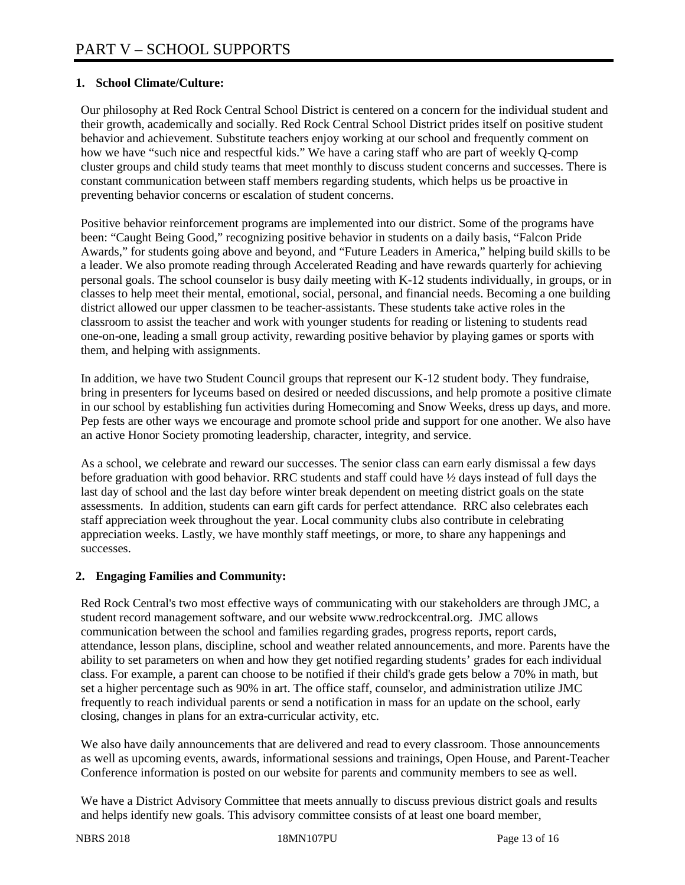## **1. School Climate/Culture:**

Our philosophy at Red Rock Central School District is centered on a concern for the individual student and their growth, academically and socially. Red Rock Central School District prides itself on positive student behavior and achievement. Substitute teachers enjoy working at our school and frequently comment on how we have "such nice and respectful kids." We have a caring staff who are part of weekly Q-comp cluster groups and child study teams that meet monthly to discuss student concerns and successes. There is constant communication between staff members regarding students, which helps us be proactive in preventing behavior concerns or escalation of student concerns.

Positive behavior reinforcement programs are implemented into our district. Some of the programs have been: "Caught Being Good," recognizing positive behavior in students on a daily basis, "Falcon Pride Awards," for students going above and beyond, and "Future Leaders in America," helping build skills to be a leader. We also promote reading through Accelerated Reading and have rewards quarterly for achieving personal goals. The school counselor is busy daily meeting with K-12 students individually, in groups, or in classes to help meet their mental, emotional, social, personal, and financial needs. Becoming a one building district allowed our upper classmen to be teacher-assistants. These students take active roles in the classroom to assist the teacher and work with younger students for reading or listening to students read one-on-one, leading a small group activity, rewarding positive behavior by playing games or sports with them, and helping with assignments.

In addition, we have two Student Council groups that represent our K-12 student body. They fundraise, bring in presenters for lyceums based on desired or needed discussions, and help promote a positive climate in our school by establishing fun activities during Homecoming and Snow Weeks, dress up days, and more. Pep fests are other ways we encourage and promote school pride and support for one another. We also have an active Honor Society promoting leadership, character, integrity, and service.

As a school, we celebrate and reward our successes. The senior class can earn early dismissal a few days before graduation with good behavior. RRC students and staff could have ½ days instead of full days the last day of school and the last day before winter break dependent on meeting district goals on the state assessments. In addition, students can earn gift cards for perfect attendance. RRC also celebrates each staff appreciation week throughout the year. Local community clubs also contribute in celebrating appreciation weeks. Lastly, we have monthly staff meetings, or more, to share any happenings and successes.

#### **2. Engaging Families and Community:**

Red Rock Central's two most effective ways of communicating with our stakeholders are through JMC, a student record management software, and our website www.redrockcentral.org. JMC allows communication between the school and families regarding grades, progress reports, report cards, attendance, lesson plans, discipline, school and weather related announcements, and more. Parents have the ability to set parameters on when and how they get notified regarding students' grades for each individual class. For example, a parent can choose to be notified if their child's grade gets below a 70% in math, but set a higher percentage such as 90% in art. The office staff, counselor, and administration utilize JMC frequently to reach individual parents or send a notification in mass for an update on the school, early closing, changes in plans for an extra-curricular activity, etc.

We also have daily announcements that are delivered and read to every classroom. Those announcements as well as upcoming events, awards, informational sessions and trainings, Open House, and Parent-Teacher Conference information is posted on our website for parents and community members to see as well.

We have a District Advisory Committee that meets annually to discuss previous district goals and results and helps identify new goals. This advisory committee consists of at least one board member,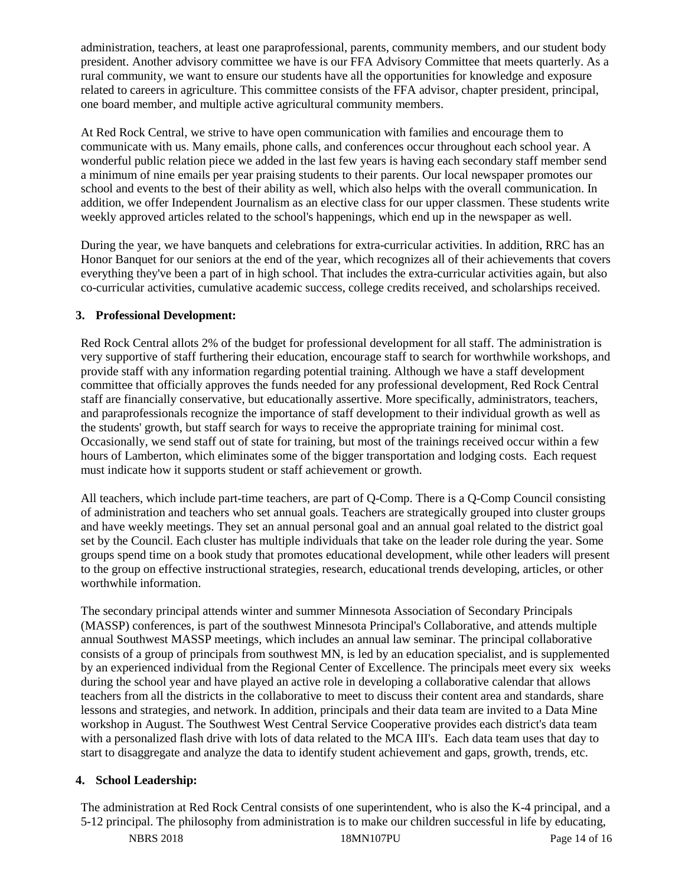administration, teachers, at least one paraprofessional, parents, community members, and our student body president. Another advisory committee we have is our FFA Advisory Committee that meets quarterly. As a rural community, we want to ensure our students have all the opportunities for knowledge and exposure related to careers in agriculture. This committee consists of the FFA advisor, chapter president, principal, one board member, and multiple active agricultural community members.

At Red Rock Central, we strive to have open communication with families and encourage them to communicate with us. Many emails, phone calls, and conferences occur throughout each school year. A wonderful public relation piece we added in the last few years is having each secondary staff member send a minimum of nine emails per year praising students to their parents. Our local newspaper promotes our school and events to the best of their ability as well, which also helps with the overall communication. In addition, we offer Independent Journalism as an elective class for our upper classmen. These students write weekly approved articles related to the school's happenings, which end up in the newspaper as well.

During the year, we have banquets and celebrations for extra-curricular activities. In addition, RRC has an Honor Banquet for our seniors at the end of the year, which recognizes all of their achievements that covers everything they've been a part of in high school. That includes the extra-curricular activities again, but also co-curricular activities, cumulative academic success, college credits received, and scholarships received.

### **3. Professional Development:**

Red Rock Central allots 2% of the budget for professional development for all staff. The administration is very supportive of staff furthering their education, encourage staff to search for worthwhile workshops, and provide staff with any information regarding potential training. Although we have a staff development committee that officially approves the funds needed for any professional development, Red Rock Central staff are financially conservative, but educationally assertive. More specifically, administrators, teachers, and paraprofessionals recognize the importance of staff development to their individual growth as well as the students' growth, but staff search for ways to receive the appropriate training for minimal cost. Occasionally, we send staff out of state for training, but most of the trainings received occur within a few hours of Lamberton, which eliminates some of the bigger transportation and lodging costs. Each request must indicate how it supports student or staff achievement or growth.

All teachers, which include part-time teachers, are part of Q-Comp. There is a Q-Comp Council consisting of administration and teachers who set annual goals. Teachers are strategically grouped into cluster groups and have weekly meetings. They set an annual personal goal and an annual goal related to the district goal set by the Council. Each cluster has multiple individuals that take on the leader role during the year. Some groups spend time on a book study that promotes educational development, while other leaders will present to the group on effective instructional strategies, research, educational trends developing, articles, or other worthwhile information.

The secondary principal attends winter and summer Minnesota Association of Secondary Principals (MASSP) conferences, is part of the southwest Minnesota Principal's Collaborative, and attends multiple annual Southwest MASSP meetings, which includes an annual law seminar. The principal collaborative consists of a group of principals from southwest MN, is led by an education specialist, and is supplemented by an experienced individual from the Regional Center of Excellence. The principals meet every six weeks during the school year and have played an active role in developing a collaborative calendar that allows teachers from all the districts in the collaborative to meet to discuss their content area and standards, share lessons and strategies, and network. In addition, principals and their data team are invited to a Data Mine workshop in August. The Southwest West Central Service Cooperative provides each district's data team with a personalized flash drive with lots of data related to the MCA III's. Each data team uses that day to start to disaggregate and analyze the data to identify student achievement and gaps, growth, trends, etc.

# **4. School Leadership:**

The administration at Red Rock Central consists of one superintendent, who is also the K-4 principal, and a 5-12 principal. The philosophy from administration is to make our children successful in life by educating,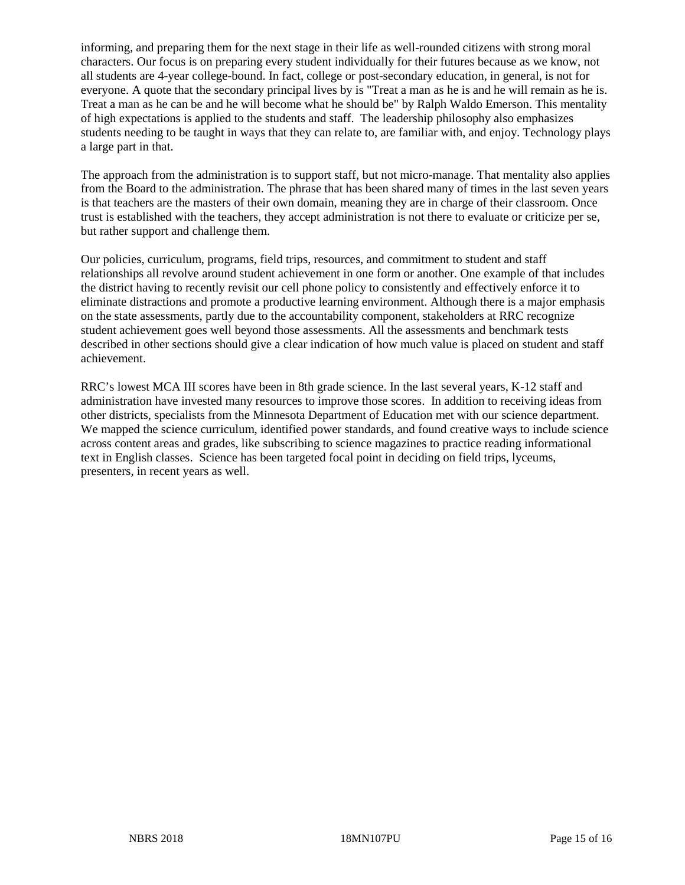informing, and preparing them for the next stage in their life as well-rounded citizens with strong moral characters. Our focus is on preparing every student individually for their futures because as we know, not all students are 4-year college-bound. In fact, college or post-secondary education, in general, is not for everyone. A quote that the secondary principal lives by is "Treat a man as he is and he will remain as he is. Treat a man as he can be and he will become what he should be" by Ralph Waldo Emerson. This mentality of high expectations is applied to the students and staff. The leadership philosophy also emphasizes students needing to be taught in ways that they can relate to, are familiar with, and enjoy. Technology plays a large part in that.

The approach from the administration is to support staff, but not micro-manage. That mentality also applies from the Board to the administration. The phrase that has been shared many of times in the last seven years is that teachers are the masters of their own domain, meaning they are in charge of their classroom. Once trust is established with the teachers, they accept administration is not there to evaluate or criticize per se, but rather support and challenge them.

Our policies, curriculum, programs, field trips, resources, and commitment to student and staff relationships all revolve around student achievement in one form or another. One example of that includes the district having to recently revisit our cell phone policy to consistently and effectively enforce it to eliminate distractions and promote a productive learning environment. Although there is a major emphasis on the state assessments, partly due to the accountability component, stakeholders at RRC recognize student achievement goes well beyond those assessments. All the assessments and benchmark tests described in other sections should give a clear indication of how much value is placed on student and staff achievement.

RRC's lowest MCA III scores have been in 8th grade science. In the last several years, K-12 staff and administration have invested many resources to improve those scores. In addition to receiving ideas from other districts, specialists from the Minnesota Department of Education met with our science department. We mapped the science curriculum, identified power standards, and found creative ways to include science across content areas and grades, like subscribing to science magazines to practice reading informational text in English classes. Science has been targeted focal point in deciding on field trips, lyceums, presenters, in recent years as well.